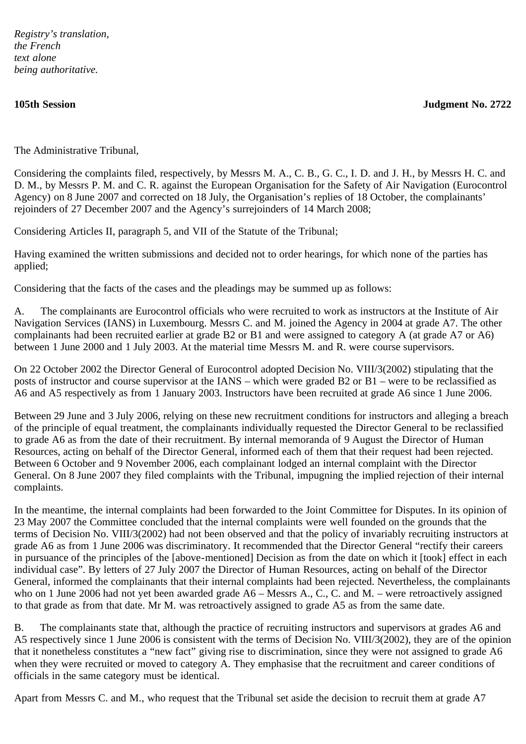*Registry's translation, the French text alone being authoritative.*

**105th Session Judgment No. 2722**

The Administrative Tribunal,

Considering the complaints filed, respectively, by Messrs M. A., C. B., G. C., I. D. and J. H., by Messrs H. C. and D. M., by Messrs P. M. and C. R. against the European Organisation for the Safety of Air Navigation (Eurocontrol Agency) on 8 June 2007 and corrected on 18 July, the Organisation's replies of 18 October, the complainants' rejoinders of 27 December 2007 and the Agency's surrejoinders of 14 March 2008;

Considering Articles II, paragraph 5, and VII of the Statute of the Tribunal;

Having examined the written submissions and decided not to order hearings, for which none of the parties has applied;

Considering that the facts of the cases and the pleadings may be summed up as follows:

A. The complainants are Eurocontrol officials who were recruited to work as instructors at the Institute of Air Navigation Services (IANS) in Luxembourg. Messrs C. and M. joined the Agency in 2004 at grade A7. The other complainants had been recruited earlier at grade B2 or B1 and were assigned to category A (at grade A7 or A6) between 1 June 2000 and 1 July 2003. At the material time Messrs M. and R. were course supervisors.

On 22 October 2002 the Director General of Eurocontrol adopted Decision No. VIII/3(2002) stipulating that the posts of instructor and course supervisor at the IANS – which were graded B2 or B1 – were to be reclassified as A6 and A5 respectively as from 1 January 2003. Instructors have been recruited at grade A6 since 1 June 2006.

Between 29 June and 3 July 2006, relying on these new recruitment conditions for instructors and alleging a breach of the principle of equal treatment, the complainants individually requested the Director General to be reclassified to grade A6 as from the date of their recruitment. By internal memoranda of 9 August the Director of Human Resources, acting on behalf of the Director General, informed each of them that their request had been rejected. Between 6 October and 9 November 2006, each complainant lodged an internal complaint with the Director General. On 8 June 2007 they filed complaints with the Tribunal, impugning the implied rejection of their internal complaints.

In the meantime, the internal complaints had been forwarded to the Joint Committee for Disputes. In its opinion of 23 May 2007 the Committee concluded that the internal complaints were well founded on the grounds that the terms of Decision No. VIII/3(2002) had not been observed and that the policy of invariably recruiting instructors at grade A6 as from 1 June 2006 was discriminatory. It recommended that the Director General "rectify their careers in pursuance of the principles of the [above-mentioned] Decision as from the date on which it [took] effect in each individual case". By letters of 27 July 2007 the Director of Human Resources, acting on behalf of the Director General, informed the complainants that their internal complaints had been rejected. Nevertheless, the complainants who on 1 June 2006 had not yet been awarded grade A6 – Messrs A., C., C. and M. – were retroactively assigned to that grade as from that date. Mr M. was retroactively assigned to grade A5 as from the same date.

B. The complainants state that, although the practice of recruiting instructors and supervisors at grades A6 and A5 respectively since 1 June 2006 is consistent with the terms of Decision No. VIII/3(2002), they are of the opinion that it nonetheless constitutes a "new fact" giving rise to discrimination, since they were not assigned to grade A6 when they were recruited or moved to category A. They emphasise that the recruitment and career conditions of officials in the same category must be identical.

Apart from Messrs C. and M., who request that the Tribunal set aside the decision to recruit them at grade A7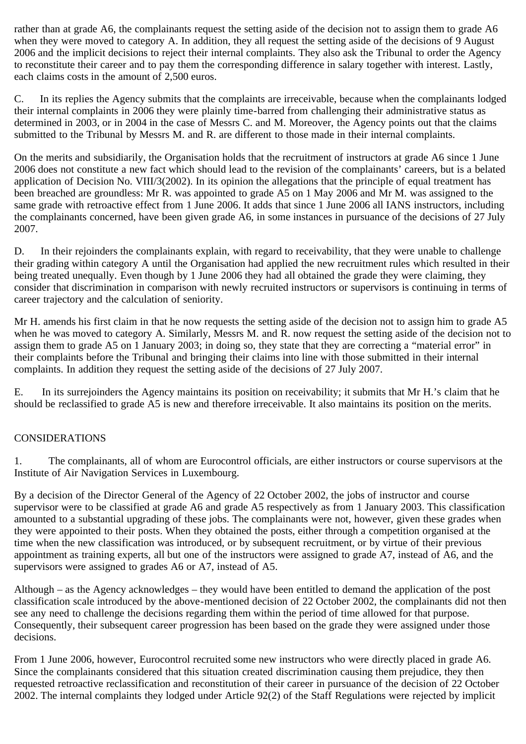rather than at grade A6, the complainants request the setting aside of the decision not to assign them to grade A6 when they were moved to category A. In addition, they all request the setting aside of the decisions of 9 August 2006 and the implicit decisions to reject their internal complaints. They also ask the Tribunal to order the Agency to reconstitute their career and to pay them the corresponding difference in salary together with interest. Lastly, each claims costs in the amount of 2,500 euros.

C. In its replies the Agency submits that the complaints are irreceivable, because when the complainants lodged their internal complaints in 2006 they were plainly time-barred from challenging their administrative status as determined in 2003, or in 2004 in the case of Messrs C. and M. Moreover, the Agency points out that the claims submitted to the Tribunal by Messrs M. and R. are different to those made in their internal complaints.

On the merits and subsidiarily, the Organisation holds that the recruitment of instructors at grade A6 since 1 June 2006 does not constitute a new fact which should lead to the revision of the complainants' careers, but is a belated application of Decision No. VIII/3(2002). In its opinion the allegations that the principle of equal treatment has been breached are groundless: Mr R. was appointed to grade A5 on 1 May 2006 and Mr M. was assigned to the same grade with retroactive effect from 1 June 2006. It adds that since 1 June 2006 all IANS instructors, including the complainants concerned, have been given grade A6, in some instances in pursuance of the decisions of 27 July 2007.

D. In their rejoinders the complainants explain, with regard to receivability, that they were unable to challenge their grading within category A until the Organisation had applied the new recruitment rules which resulted in their being treated unequally. Even though by 1 June 2006 they had all obtained the grade they were claiming, they consider that discrimination in comparison with newly recruited instructors or supervisors is continuing in terms of career trajectory and the calculation of seniority.

Mr H. amends his first claim in that he now requests the setting aside of the decision not to assign him to grade A5 when he was moved to category A. Similarly, Messrs M. and R. now request the setting aside of the decision not to assign them to grade A5 on 1 January 2003; in doing so, they state that they are correcting a "material error" in their complaints before the Tribunal and bringing their claims into line with those submitted in their internal complaints. In addition they request the setting aside of the decisions of 27 July 2007.

E. In its surrejoinders the Agency maintains its position on receivability; it submits that Mr H.'s claim that he should be reclassified to grade A5 is new and therefore irreceivable. It also maintains its position on the merits.

## CONSIDERATIONS

1. The complainants, all of whom are Eurocontrol officials, are either instructors or course supervisors at the Institute of Air Navigation Services in Luxembourg.

By a decision of the Director General of the Agency of 22 October 2002, the jobs of instructor and course supervisor were to be classified at grade A6 and grade A5 respectively as from 1 January 2003. This classification amounted to a substantial upgrading of these jobs. The complainants were not, however, given these grades when they were appointed to their posts. When they obtained the posts, either through a competition organised at the time when the new classification was introduced, or by subsequent recruitment, or by virtue of their previous appointment as training experts, all but one of the instructors were assigned to grade A7, instead of A6, and the supervisors were assigned to grades A6 or A7, instead of A5.

Although – as the Agency acknowledges – they would have been entitled to demand the application of the post classification scale introduced by the above-mentioned decision of 22 October 2002, the complainants did not then see any need to challenge the decisions regarding them within the period of time allowed for that purpose. Consequently, their subsequent career progression has been based on the grade they were assigned under those decisions.

From 1 June 2006, however, Eurocontrol recruited some new instructors who were directly placed in grade A6. Since the complainants considered that this situation created discrimination causing them prejudice, they then requested retroactive reclassification and reconstitution of their career in pursuance of the decision of 22 October 2002. The internal complaints they lodged under Article 92(2) of the Staff Regulations were rejected by implicit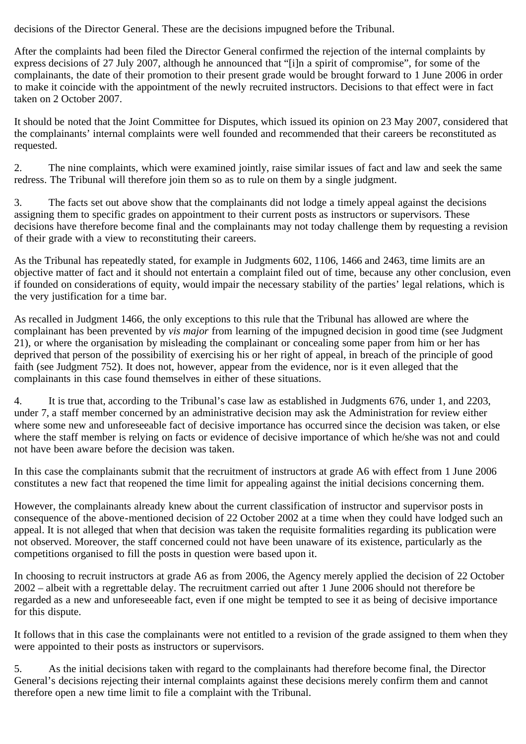decisions of the Director General. These are the decisions impugned before the Tribunal.

After the complaints had been filed the Director General confirmed the rejection of the internal complaints by express decisions of 27 July 2007, although he announced that "[i]n a spirit of compromise", for some of the complainants, the date of their promotion to their present grade would be brought forward to 1 June 2006 in order to make it coincide with the appointment of the newly recruited instructors. Decisions to that effect were in fact taken on 2 October 2007.

It should be noted that the Joint Committee for Disputes, which issued its opinion on 23 May 2007, considered that the complainants' internal complaints were well founded and recommended that their careers be reconstituted as requested.

2. The nine complaints, which were examined jointly, raise similar issues of fact and law and seek the same redress. The Tribunal will therefore join them so as to rule on them by a single judgment.

3. The facts set out above show that the complainants did not lodge a timely appeal against the decisions assigning them to specific grades on appointment to their current posts as instructors or supervisors. These decisions have therefore become final and the complainants may not today challenge them by requesting a revision of their grade with a view to reconstituting their careers.

As the Tribunal has repeatedly stated, for example in Judgments 602, 1106, 1466 and 2463, time limits are an objective matter of fact and it should not entertain a complaint filed out of time, because any other conclusion, even if founded on considerations of equity, would impair the necessary stability of the parties' legal relations, which is the very justification for a time bar.

As recalled in Judgment 1466, the only exceptions to this rule that the Tribunal has allowed are where the complainant has been prevented by *vis major* from learning of the impugned decision in good time (see Judgment 21), or where the organisation by misleading the complainant or concealing some paper from him or her has deprived that person of the possibility of exercising his or her right of appeal, in breach of the principle of good faith (see Judgment 752). It does not, however, appear from the evidence, nor is it even alleged that the complainants in this case found themselves in either of these situations.

4. It is true that, according to the Tribunal's case law as established in Judgments 676, under 1, and 2203, under 7, a staff member concerned by an administrative decision may ask the Administration for review either where some new and unforeseeable fact of decisive importance has occurred since the decision was taken, or else where the staff member is relying on facts or evidence of decisive importance of which he/she was not and could not have been aware before the decision was taken.

In this case the complainants submit that the recruitment of instructors at grade A6 with effect from 1 June 2006 constitutes a new fact that reopened the time limit for appealing against the initial decisions concerning them.

However, the complainants already knew about the current classification of instructor and supervisor posts in consequence of the above-mentioned decision of 22 October 2002 at a time when they could have lodged such an appeal. It is not alleged that when that decision was taken the requisite formalities regarding its publication were not observed. Moreover, the staff concerned could not have been unaware of its existence, particularly as the competitions organised to fill the posts in question were based upon it.

In choosing to recruit instructors at grade A6 as from 2006, the Agency merely applied the decision of 22 October 2002 – albeit with a regrettable delay. The recruitment carried out after 1 June 2006 should not therefore be regarded as a new and unforeseeable fact, even if one might be tempted to see it as being of decisive importance for this dispute.

It follows that in this case the complainants were not entitled to a revision of the grade assigned to them when they were appointed to their posts as instructors or supervisors.

5. As the initial decisions taken with regard to the complainants had therefore become final, the Director General's decisions rejecting their internal complaints against these decisions merely confirm them and cannot therefore open a new time limit to file a complaint with the Tribunal.